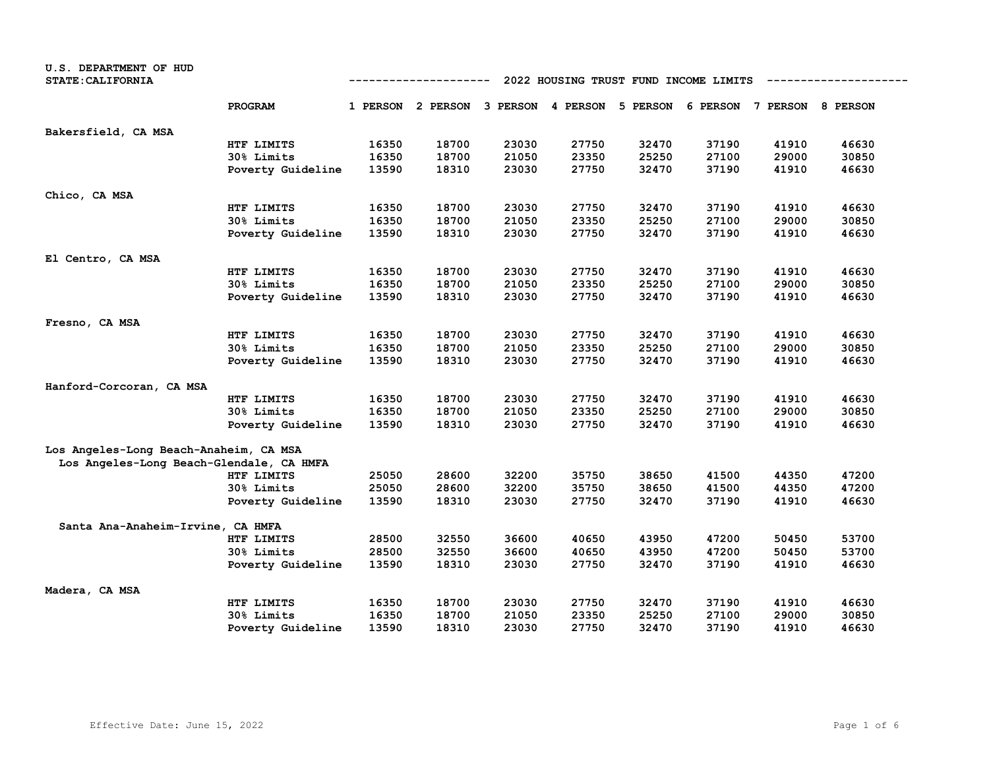| U.S. DEPARTMENT OF HUD<br><b>STATE: CALIFORNIA</b> |                   | 2022 HOUSING TRUST FUND INCOME LIMITS<br>----------- |       |       |       |       |                                                                         |       |       |
|----------------------------------------------------|-------------------|------------------------------------------------------|-------|-------|-------|-------|-------------------------------------------------------------------------|-------|-------|
|                                                    | PROGRAM           |                                                      |       |       |       |       | 1 PERSON 2 PERSON 3 PERSON 4 PERSON 5 PERSON 6 PERSON 7 PERSON 8 PERSON |       |       |
| Bakersfield, CA MSA                                |                   |                                                      |       |       |       |       |                                                                         |       |       |
|                                                    | HTF LIMITS        | 16350                                                | 18700 | 23030 | 27750 | 32470 | 37190                                                                   | 41910 | 46630 |
|                                                    | 30% Limits        | 16350                                                | 18700 | 21050 | 23350 | 25250 | 27100                                                                   | 29000 | 30850 |
|                                                    | Poverty Guideline | 13590                                                | 18310 | 23030 | 27750 | 32470 | 37190                                                                   | 41910 | 46630 |
| Chico, CA MSA                                      |                   |                                                      |       |       |       |       |                                                                         |       |       |
|                                                    | HTF LIMITS        | 16350                                                | 18700 | 23030 | 27750 | 32470 | 37190                                                                   | 41910 | 46630 |
|                                                    | 30% Limits        | 16350                                                | 18700 | 21050 | 23350 | 25250 | 27100                                                                   | 29000 | 30850 |
|                                                    | Poverty Guideline | 13590                                                | 18310 | 23030 | 27750 | 32470 | 37190                                                                   | 41910 | 46630 |
| El Centro, CA MSA                                  |                   |                                                      |       |       |       |       |                                                                         |       |       |
|                                                    | HTF LIMITS        | 16350                                                | 18700 | 23030 | 27750 | 32470 | 37190                                                                   | 41910 | 46630 |
|                                                    | 30% Limits        | 16350                                                | 18700 | 21050 | 23350 | 25250 | 27100                                                                   | 29000 | 30850 |
|                                                    | Poverty Guideline | 13590                                                | 18310 | 23030 | 27750 | 32470 | 37190                                                                   | 41910 | 46630 |
| Fresno, CA MSA                                     |                   |                                                      |       |       |       |       |                                                                         |       |       |
|                                                    | HTF LIMITS        | 16350                                                | 18700 | 23030 | 27750 | 32470 | 37190                                                                   | 41910 | 46630 |
|                                                    | 30% Limits        | 16350                                                | 18700 | 21050 | 23350 | 25250 | 27100                                                                   | 29000 | 30850 |
|                                                    | Poverty Guideline | 13590                                                | 18310 | 23030 | 27750 | 32470 | 37190                                                                   | 41910 | 46630 |
| Hanford-Corcoran, CA MSA                           |                   |                                                      |       |       |       |       |                                                                         |       |       |
|                                                    | HTF LIMITS        | 16350                                                | 18700 | 23030 | 27750 | 32470 | 37190                                                                   | 41910 | 46630 |
|                                                    | 30% Limits        | 16350                                                | 18700 | 21050 | 23350 | 25250 | 27100                                                                   | 29000 | 30850 |
|                                                    | Poverty Guideline | 13590                                                | 18310 | 23030 | 27750 | 32470 | 37190                                                                   | 41910 | 46630 |
| Los Angeles-Long Beach-Anaheim, CA MSA             |                   |                                                      |       |       |       |       |                                                                         |       |       |
| Los Angeles-Long Beach-Glendale, CA HMFA           |                   |                                                      |       |       |       |       |                                                                         |       |       |
|                                                    | HTF LIMITS        | 25050                                                | 28600 | 32200 | 35750 | 38650 | 41500                                                                   | 44350 | 47200 |
|                                                    | 30% Limits        | 25050                                                | 28600 | 32200 | 35750 | 38650 | 41500                                                                   | 44350 | 47200 |
|                                                    | Poverty Guideline | 13590                                                | 18310 | 23030 | 27750 | 32470 | 37190                                                                   | 41910 | 46630 |
| Santa Ana-Anaheim-Irvine, CA HMFA                  |                   |                                                      |       |       |       |       |                                                                         |       |       |
|                                                    | HTF LIMITS        | 28500                                                | 32550 | 36600 | 40650 | 43950 | 47200                                                                   | 50450 | 53700 |
|                                                    | 30% Limits        | 28500                                                | 32550 | 36600 | 40650 | 43950 | 47200                                                                   | 50450 | 53700 |
|                                                    | Poverty Guideline | 13590                                                | 18310 | 23030 | 27750 | 32470 | 37190                                                                   | 41910 | 46630 |
| Madera, CA MSA                                     |                   |                                                      |       |       |       |       |                                                                         |       |       |
|                                                    | HTF LIMITS        | 16350                                                | 18700 | 23030 | 27750 | 32470 | 37190                                                                   | 41910 | 46630 |
|                                                    | <b>30% Limits</b> | 16350                                                | 18700 | 21050 | 23350 | 25250 | 27100                                                                   | 29000 | 30850 |
|                                                    | Poverty Guideline | 13590                                                | 18310 | 23030 | 27750 | 32470 | 37190                                                                   | 41910 | 46630 |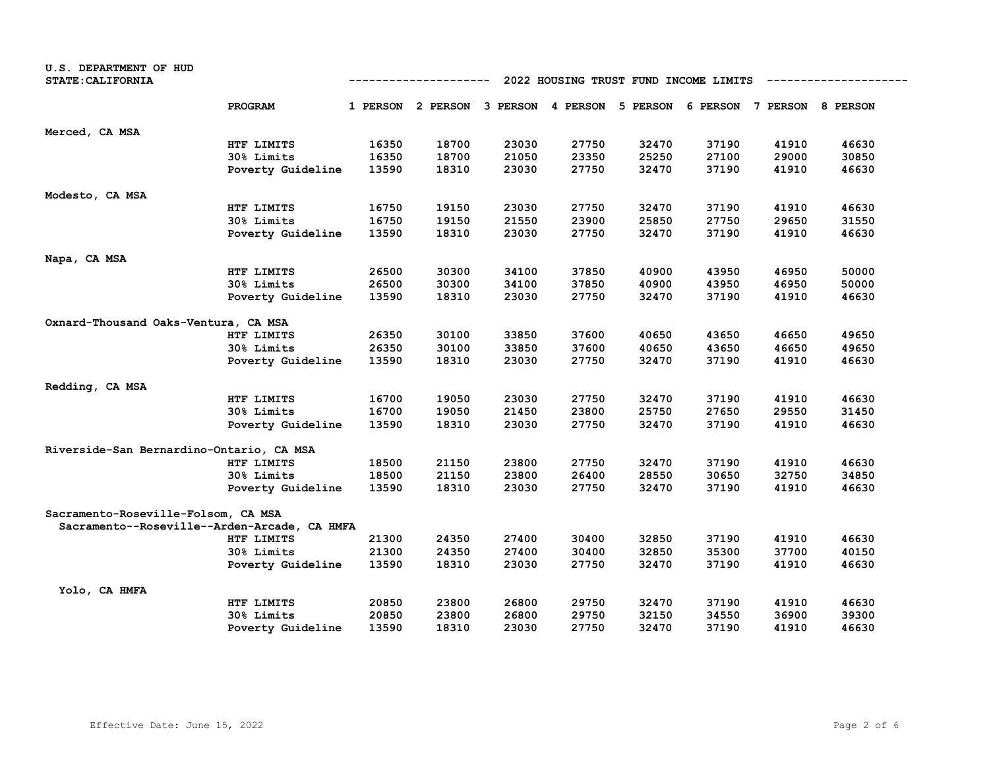| U.S. DEPARTMENT OF HUD<br><b>STATE: CALIFORNIA</b> |                   | 2022 HOUSING TRUST FUND INCOME LIMITS<br>---------- |                                                                         |       |       |       |       |       |       |  |
|----------------------------------------------------|-------------------|-----------------------------------------------------|-------------------------------------------------------------------------|-------|-------|-------|-------|-------|-------|--|
|                                                    | PROGRAM           |                                                     | 1 PERSON 2 PERSON 3 PERSON 4 PERSON 5 PERSON 6 PERSON 7 PERSON 8 PERSON |       |       |       |       |       |       |  |
| Merced, CA MSA                                     |                   |                                                     |                                                                         |       |       |       |       |       |       |  |
|                                                    | HTF LIMITS        | 16350                                               | 18700                                                                   | 23030 | 27750 | 32470 | 37190 | 41910 | 46630 |  |
|                                                    | 30% Limits        | 16350                                               | 18700                                                                   | 21050 | 23350 | 25250 | 27100 | 29000 | 30850 |  |
|                                                    | Poverty Guideline | 13590                                               | 18310                                                                   | 23030 | 27750 | 32470 | 37190 | 41910 | 46630 |  |
| Modesto, CA MSA                                    |                   |                                                     |                                                                         |       |       |       |       |       |       |  |
|                                                    | HTF LIMITS        | 16750                                               | 19150                                                                   | 23030 | 27750 | 32470 | 37190 | 41910 | 46630 |  |
|                                                    | 30% Limits        | 16750                                               | 19150                                                                   | 21550 | 23900 | 25850 | 27750 | 29650 | 31550 |  |
|                                                    | Poverty Guideline | 13590                                               | 18310                                                                   | 23030 | 27750 | 32470 | 37190 | 41910 | 46630 |  |
| Napa, CA MSA                                       |                   |                                                     |                                                                         |       |       |       |       |       |       |  |
|                                                    | HTF LIMITS        | 26500                                               | 30300                                                                   | 34100 | 37850 | 40900 | 43950 | 46950 | 50000 |  |
|                                                    | 30% Limits        | 26500                                               | 30300                                                                   | 34100 | 37850 | 40900 | 43950 | 46950 | 50000 |  |
|                                                    | Poverty Guideline | 13590                                               | 18310                                                                   | 23030 | 27750 | 32470 | 37190 | 41910 | 46630 |  |
| Oxnard-Thousand Oaks-Ventura, CA MSA               |                   |                                                     |                                                                         |       |       |       |       |       |       |  |
|                                                    | HTF LIMITS        | 26350                                               | 30100                                                                   | 33850 | 37600 | 40650 | 43650 | 46650 | 49650 |  |
|                                                    | 30% Limits        | 26350                                               | 30100                                                                   | 33850 | 37600 | 40650 | 43650 | 46650 | 49650 |  |
|                                                    | Poverty Guideline | 13590                                               | 18310                                                                   | 23030 | 27750 | 32470 | 37190 | 41910 | 46630 |  |
| Redding, CA MSA                                    |                   |                                                     |                                                                         |       |       |       |       |       |       |  |
|                                                    | HTF LIMITS        | 16700                                               | 19050                                                                   | 23030 | 27750 | 32470 | 37190 | 41910 | 46630 |  |
|                                                    | 30% Limits        | 16700                                               | 19050                                                                   | 21450 | 23800 | 25750 | 27650 | 29550 | 31450 |  |
|                                                    | Poverty Guideline | 13590                                               | 18310                                                                   | 23030 | 27750 | 32470 | 37190 | 41910 | 46630 |  |
| Riverside-San Bernardino-Ontario, CA MSA           |                   |                                                     |                                                                         |       |       |       |       |       |       |  |
|                                                    | HTF LIMITS        | 18500                                               | 21150                                                                   | 23800 | 27750 | 32470 | 37190 | 41910 | 46630 |  |
|                                                    | 30% Limits        | 18500                                               | 21150                                                                   | 23800 | 26400 | 28550 | 30650 | 32750 | 34850 |  |
|                                                    | Poverty Guideline | 13590                                               | 18310                                                                   | 23030 | 27750 | 32470 | 37190 | 41910 | 46630 |  |
| Sacramento-Roseville-Folsom, CA MSA                |                   |                                                     |                                                                         |       |       |       |       |       |       |  |
| Sacramento--Roseville--Arden-Arcade, CA HMFA       |                   |                                                     |                                                                         |       |       |       |       |       |       |  |
|                                                    | HTF LIMITS        | 21300                                               | 24350                                                                   | 27400 | 30400 | 32850 | 37190 | 41910 | 46630 |  |
|                                                    | 30% Limits        | 21300                                               | 24350                                                                   | 27400 | 30400 | 32850 | 35300 | 37700 | 40150 |  |
|                                                    | Poverty Guideline | 13590                                               | 18310                                                                   | 23030 | 27750 | 32470 | 37190 | 41910 | 46630 |  |
| Yolo, CA HMFA                                      |                   |                                                     |                                                                         |       |       |       |       |       |       |  |
|                                                    | HTF LIMITS        | 20850                                               | 23800                                                                   | 26800 | 29750 | 32470 | 37190 | 41910 | 46630 |  |
|                                                    | 30% Limits        | 20850                                               | 23800                                                                   | 26800 | 29750 | 32150 | 34550 | 36900 | 39300 |  |
|                                                    | Poverty Guideline | 13590                                               | 18310                                                                   | 23030 | 27750 | 32470 | 37190 | 41910 | 46630 |  |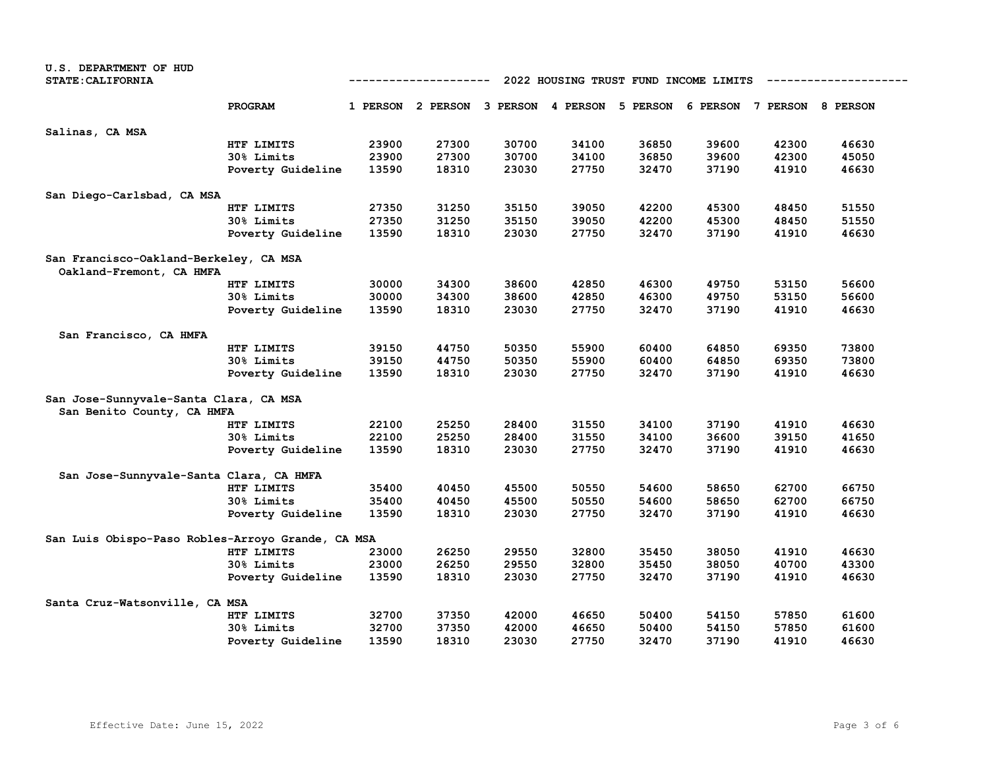| U.S. DEPARTMENT OF HUD<br><b>STATE: CALIFORNIA</b>                   |                   | 2022 HOUSING TRUST FUND INCOME LIMITS<br>----------- |                                     |       |       |          |       |                            |       |  |
|----------------------------------------------------------------------|-------------------|------------------------------------------------------|-------------------------------------|-------|-------|----------|-------|----------------------------|-------|--|
|                                                                      | PROGRAM           |                                                      | 1 PERSON 2 PERSON 3 PERSON 4 PERSON |       |       | 5 PERSON |       | 6 PERSON 7 PERSON 8 PERSON |       |  |
| Salinas, CA MSA                                                      |                   |                                                      |                                     |       |       |          |       |                            |       |  |
|                                                                      | HTF LIMITS        | 23900                                                | 27300                               | 30700 | 34100 | 36850    | 39600 | 42300                      | 46630 |  |
|                                                                      | 30% Limits        | 23900                                                | 27300                               | 30700 | 34100 | 36850    | 39600 | 42300                      | 45050 |  |
|                                                                      | Poverty Guideline | 13590                                                | 18310                               | 23030 | 27750 | 32470    | 37190 | 41910                      | 46630 |  |
| San Diego-Carlsbad, CA MSA                                           |                   |                                                      |                                     |       |       |          |       |                            |       |  |
|                                                                      | HTF LIMITS        | 27350                                                | 31250                               | 35150 | 39050 | 42200    | 45300 | 48450                      | 51550 |  |
|                                                                      | 30% Limits        | 27350                                                | 31250                               | 35150 | 39050 | 42200    | 45300 | 48450                      | 51550 |  |
|                                                                      | Poverty Guideline | 13590                                                | 18310                               | 23030 | 27750 | 32470    | 37190 | 41910                      | 46630 |  |
| San Francisco-Oakland-Berkeley, CA MSA<br>Oakland-Fremont, CA HMFA   |                   |                                                      |                                     |       |       |          |       |                            |       |  |
|                                                                      | HTF LIMITS        | 30000                                                | 34300                               | 38600 | 42850 | 46300    | 49750 | 53150                      | 56600 |  |
|                                                                      | 30% Limits        | 30000                                                | 34300                               | 38600 | 42850 | 46300    | 49750 | 53150                      | 56600 |  |
|                                                                      | Poverty Guideline | 13590                                                | 18310                               | 23030 | 27750 | 32470    | 37190 | 41910                      | 46630 |  |
| San Francisco, CA HMFA                                               |                   |                                                      |                                     |       |       |          |       |                            |       |  |
|                                                                      | HTF LIMITS        | 39150                                                | 44750                               | 50350 | 55900 | 60400    | 64850 | 69350                      | 73800 |  |
|                                                                      | 30% Limits        | 39150                                                | 44750                               | 50350 | 55900 | 60400    | 64850 | 69350                      | 73800 |  |
|                                                                      | Poverty Guideline | 13590                                                | 18310                               | 23030 | 27750 | 32470    | 37190 | 41910                      | 46630 |  |
| San Jose-Sunnyvale-Santa Clara, CA MSA<br>San Benito County, CA HMFA |                   |                                                      |                                     |       |       |          |       |                            |       |  |
|                                                                      | HTF LIMITS        | 22100                                                | 25250                               | 28400 | 31550 | 34100    | 37190 | 41910                      | 46630 |  |
|                                                                      | 30% Limits        | 22100                                                | 25250                               | 28400 | 31550 | 34100    | 36600 | 39150                      | 41650 |  |
|                                                                      | Poverty Guideline | 13590                                                | 18310                               | 23030 | 27750 | 32470    | 37190 | 41910                      | 46630 |  |
| San Jose-Sunnyvale-Santa Clara, CA HMFA                              |                   |                                                      |                                     |       |       |          |       |                            |       |  |
|                                                                      | HTF LIMITS        | 35400                                                | 40450                               | 45500 | 50550 | 54600    | 58650 | 62700                      | 66750 |  |
|                                                                      | 30% Limits        | 35400                                                | 40450                               | 45500 | 50550 | 54600    | 58650 | 62700                      | 66750 |  |
|                                                                      | Poverty Guideline | 13590                                                | 18310                               | 23030 | 27750 | 32470    | 37190 | 41910                      | 46630 |  |
| San Luis Obispo-Paso Robles-Arroyo Grande, CA MSA                    |                   |                                                      |                                     |       |       |          |       |                            |       |  |
|                                                                      | HTF LIMITS        | 23000                                                | 26250                               | 29550 | 32800 | 35450    | 38050 | 41910                      | 46630 |  |
|                                                                      | 30% Limits        | 23000                                                | 26250                               | 29550 | 32800 | 35450    | 38050 | 40700                      | 43300 |  |
|                                                                      | Poverty Guideline | 13590                                                | 18310                               | 23030 | 27750 | 32470    | 37190 | 41910                      | 46630 |  |
| Santa Cruz-Watsonville, CA MSA                                       |                   |                                                      |                                     |       |       |          |       |                            |       |  |
|                                                                      | HTF LIMITS        | 32700                                                | 37350                               | 42000 | 46650 | 50400    | 54150 | 57850                      | 61600 |  |
|                                                                      | 30% Limits        | 32700                                                | 37350                               | 42000 | 46650 | 50400    | 54150 | 57850                      | 61600 |  |
|                                                                      | Poverty Guideline | 13590                                                | 18310                               | 23030 | 27750 | 32470    | 37190 | 41910                      | 46630 |  |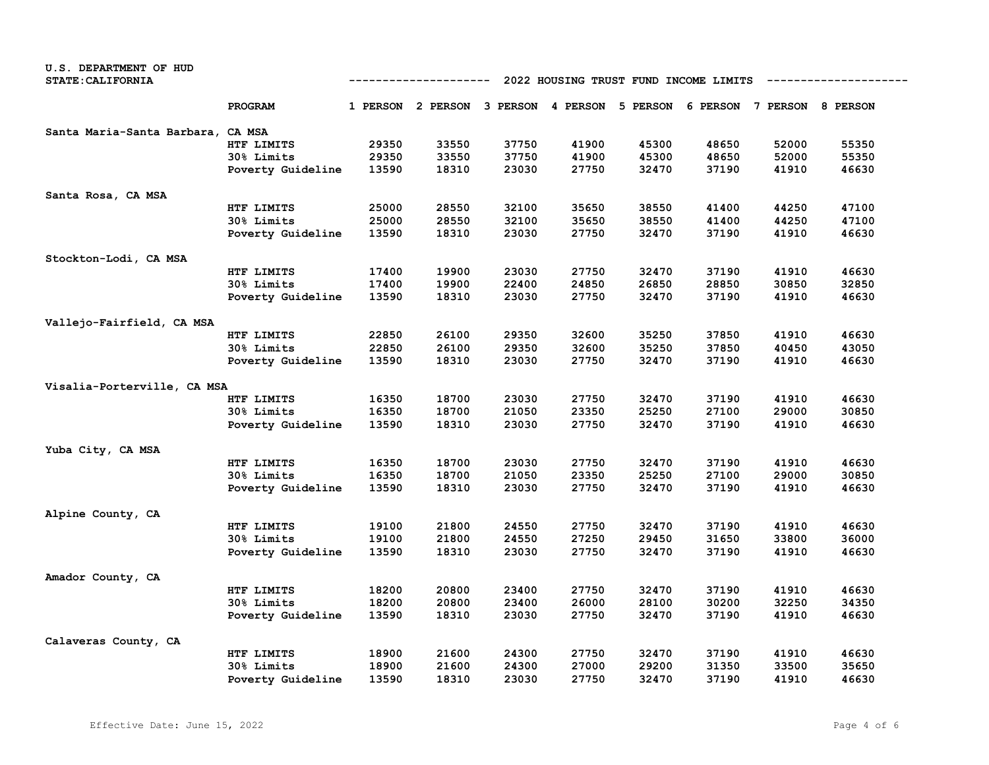| U.S. DEPARTMENT OF HUD            |                   |                                                                       |                   |       |       |                                                       |       |       |       |  |
|-----------------------------------|-------------------|-----------------------------------------------------------------------|-------------------|-------|-------|-------------------------------------------------------|-------|-------|-------|--|
| STATE: CALIFORNIA                 |                   | 2022 HOUSING TRUST FUND INCOME LIMITS<br>--------------<br>---------- |                   |       |       |                                                       |       |       |       |  |
|                                   | PROGRAM           |                                                                       | 1 PERSON 2 PERSON |       |       | 3 PERSON 4 PERSON 5 PERSON 6 PERSON 7 PERSON 8 PERSON |       |       |       |  |
| Santa Maria-Santa Barbara, CA MSA |                   |                                                                       |                   |       |       |                                                       |       |       |       |  |
|                                   | HTF LIMITS        | 29350                                                                 | 33550             | 37750 | 41900 | 45300                                                 | 48650 | 52000 | 55350 |  |
|                                   | 30% Limits        | 29350                                                                 | 33550             | 37750 | 41900 | 45300                                                 | 48650 | 52000 | 55350 |  |
|                                   | Poverty Guideline | 13590                                                                 | 18310             | 23030 | 27750 | 32470                                                 | 37190 | 41910 | 46630 |  |
| Santa Rosa, CA MSA                |                   |                                                                       |                   |       |       |                                                       |       |       |       |  |
|                                   | HTF LIMITS        | 25000                                                                 | 28550             | 32100 | 35650 | 38550                                                 | 41400 | 44250 | 47100 |  |
|                                   | 30% Limits        | 25000                                                                 | 28550             | 32100 | 35650 | 38550                                                 | 41400 | 44250 | 47100 |  |
|                                   | Poverty Guideline | 13590                                                                 | 18310             | 23030 | 27750 | 32470                                                 | 37190 | 41910 | 46630 |  |
| Stockton-Lodi, CA MSA             |                   |                                                                       |                   |       |       |                                                       |       |       |       |  |
|                                   | HTF LIMITS        | 17400                                                                 | 19900             | 23030 | 27750 | 32470                                                 | 37190 | 41910 | 46630 |  |
|                                   | 30% Limits        | 17400                                                                 | 19900             | 22400 | 24850 | 26850                                                 | 28850 | 30850 | 32850 |  |
|                                   | Poverty Guideline | 13590                                                                 | 18310             | 23030 | 27750 | 32470                                                 | 37190 | 41910 | 46630 |  |
| Vallejo-Fairfield, CA MSA         |                   |                                                                       |                   |       |       |                                                       |       |       |       |  |
|                                   | HTF LIMITS        | 22850                                                                 | 26100             | 29350 | 32600 | 35250                                                 | 37850 | 41910 | 46630 |  |
|                                   | 30% Limits        | 22850                                                                 | 26100             | 29350 | 32600 | 35250                                                 | 37850 | 40450 | 43050 |  |
|                                   | Poverty Guideline | 13590                                                                 | 18310             | 23030 | 27750 | 32470                                                 | 37190 | 41910 | 46630 |  |
| Visalia-Porterville, CA MSA       |                   |                                                                       |                   |       |       |                                                       |       |       |       |  |
|                                   | HTF LIMITS        | 16350                                                                 | 18700             | 23030 | 27750 | 32470                                                 | 37190 | 41910 | 46630 |  |
|                                   | 30% Limits        | 16350                                                                 | 18700             | 21050 | 23350 | 25250                                                 | 27100 | 29000 | 30850 |  |
|                                   | Poverty Guideline | 13590                                                                 | 18310             | 23030 | 27750 | 32470                                                 | 37190 | 41910 | 46630 |  |
| Yuba City, CA MSA                 |                   |                                                                       |                   |       |       |                                                       |       |       |       |  |
|                                   | HTF LIMITS        | 16350                                                                 | 18700             | 23030 | 27750 | 32470                                                 | 37190 | 41910 | 46630 |  |
|                                   | 30% Limits        | 16350                                                                 | 18700             | 21050 | 23350 | 25250                                                 | 27100 | 29000 | 30850 |  |
|                                   | Poverty Guideline | 13590                                                                 | 18310             | 23030 | 27750 | 32470                                                 | 37190 | 41910 | 46630 |  |
| Alpine County, CA                 |                   |                                                                       |                   |       |       |                                                       |       |       |       |  |
|                                   | HTF LIMITS        | 19100                                                                 | 21800             | 24550 | 27750 | 32470                                                 | 37190 | 41910 | 46630 |  |
|                                   | 30% Limits        | 19100                                                                 | 21800             | 24550 | 27250 | 29450                                                 | 31650 | 33800 | 36000 |  |
|                                   | Poverty Guideline | 13590                                                                 | 18310             | 23030 | 27750 | 32470                                                 | 37190 | 41910 | 46630 |  |
| Amador County, CA                 |                   |                                                                       |                   |       |       |                                                       |       |       |       |  |
|                                   | HTF LIMITS        | 18200                                                                 | 20800             | 23400 | 27750 | 32470                                                 | 37190 | 41910 | 46630 |  |
|                                   | 30% Limits        | 18200                                                                 | 20800             | 23400 | 26000 | 28100                                                 | 30200 | 32250 | 34350 |  |
|                                   | Poverty Guideline | 13590                                                                 | 18310             | 23030 | 27750 | 32470                                                 | 37190 | 41910 | 46630 |  |
| Calaveras County, CA              |                   |                                                                       |                   |       |       |                                                       |       |       |       |  |
|                                   | HTF LIMITS        | 18900                                                                 | 21600             | 24300 | 27750 | 32470                                                 | 37190 | 41910 | 46630 |  |
|                                   | 30% Limits        | 18900                                                                 | 21600             | 24300 | 27000 | 29200                                                 | 31350 | 33500 | 35650 |  |
|                                   | Poverty Guideline | 13590                                                                 | 18310             | 23030 | 27750 | 32470                                                 | 37190 | 41910 | 46630 |  |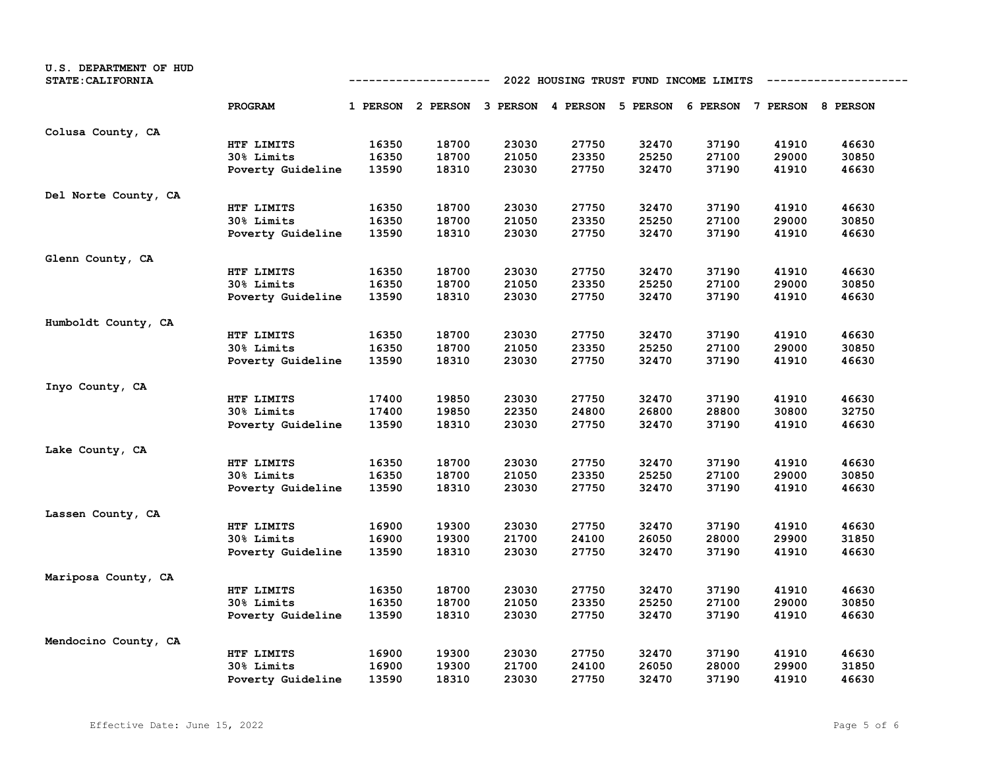| U.S. DEPARTMENT OF HUD<br><b>STATE: CALIFORNIA</b> |                   | 2022 HOUSING TRUST FUND INCOME LIMITS<br>---------- |                                                                         |       |       |       |       |       |       |
|----------------------------------------------------|-------------------|-----------------------------------------------------|-------------------------------------------------------------------------|-------|-------|-------|-------|-------|-------|
|                                                    | PROGRAM           |                                                     | 1 PERSON 2 PERSON 3 PERSON 4 PERSON 5 PERSON 6 PERSON 7 PERSON 8 PERSON |       |       |       |       |       |       |
| Colusa County, CA                                  |                   |                                                     |                                                                         |       |       |       |       |       |       |
|                                                    | HTF LIMITS        | 16350                                               | 18700                                                                   | 23030 | 27750 | 32470 | 37190 | 41910 | 46630 |
|                                                    | 30% Limits        | 16350                                               | 18700                                                                   | 21050 | 23350 | 25250 | 27100 | 29000 | 30850 |
|                                                    | Poverty Guideline | 13590                                               | 18310                                                                   | 23030 | 27750 | 32470 | 37190 | 41910 | 46630 |
| Del Norte County, CA                               |                   |                                                     |                                                                         |       |       |       |       |       |       |
|                                                    | HTF LIMITS        | 16350                                               | 18700                                                                   | 23030 | 27750 | 32470 | 37190 | 41910 | 46630 |
|                                                    | 30% Limits        | 16350                                               | 18700                                                                   | 21050 | 23350 | 25250 | 27100 | 29000 | 30850 |
|                                                    | Poverty Guideline | 13590                                               | 18310                                                                   | 23030 | 27750 | 32470 | 37190 | 41910 | 46630 |
| Glenn County, CA                                   |                   |                                                     |                                                                         |       |       |       |       |       |       |
|                                                    | HTF LIMITS        | 16350                                               | 18700                                                                   | 23030 | 27750 | 32470 | 37190 | 41910 | 46630 |
|                                                    | 30% Limits        | 16350                                               | 18700                                                                   | 21050 | 23350 | 25250 | 27100 | 29000 | 30850 |
|                                                    | Poverty Guideline | 13590                                               | 18310                                                                   | 23030 | 27750 | 32470 | 37190 | 41910 | 46630 |
| Humboldt County, CA                                |                   |                                                     |                                                                         |       |       |       |       |       |       |
|                                                    | HTF LIMITS        | 16350                                               | 18700                                                                   | 23030 | 27750 | 32470 | 37190 | 41910 | 46630 |
|                                                    | 30% Limits        | 16350                                               | 18700                                                                   | 21050 | 23350 | 25250 | 27100 | 29000 | 30850 |
|                                                    | Poverty Guideline | 13590                                               | 18310                                                                   | 23030 | 27750 | 32470 | 37190 | 41910 | 46630 |
| Inyo County, CA                                    |                   |                                                     |                                                                         |       |       |       |       |       |       |
|                                                    | HTF LIMITS        | 17400                                               | 19850                                                                   | 23030 | 27750 | 32470 | 37190 | 41910 | 46630 |
|                                                    | 30% Limits        | 17400                                               | 19850                                                                   | 22350 | 24800 | 26800 | 28800 | 30800 | 32750 |
|                                                    | Poverty Guideline | 13590                                               | 18310                                                                   | 23030 | 27750 | 32470 | 37190 | 41910 | 46630 |
| Lake County, CA                                    |                   |                                                     |                                                                         |       |       |       |       |       |       |
|                                                    | HTF LIMITS        | 16350                                               | 18700                                                                   | 23030 | 27750 | 32470 | 37190 | 41910 | 46630 |
|                                                    | 30% Limits        | 16350                                               | 18700                                                                   | 21050 | 23350 | 25250 | 27100 | 29000 | 30850 |
|                                                    | Poverty Guideline | 13590                                               | 18310                                                                   | 23030 | 27750 | 32470 | 37190 | 41910 | 46630 |
| Lassen County, CA                                  |                   |                                                     |                                                                         |       |       |       |       |       |       |
|                                                    | HTF LIMITS        | 16900                                               | 19300                                                                   | 23030 | 27750 | 32470 | 37190 | 41910 | 46630 |
|                                                    | 30% Limits        | 16900                                               | 19300                                                                   | 21700 | 24100 | 26050 | 28000 | 29900 | 31850 |
|                                                    | Poverty Guideline | 13590                                               | 18310                                                                   | 23030 | 27750 | 32470 | 37190 | 41910 | 46630 |
| Mariposa County, CA                                |                   |                                                     |                                                                         |       |       |       |       |       |       |
|                                                    | HTF LIMITS        | 16350                                               | 18700                                                                   | 23030 | 27750 | 32470 | 37190 | 41910 | 46630 |
|                                                    | 30% Limits        | 16350                                               | 18700                                                                   | 21050 | 23350 | 25250 | 27100 | 29000 | 30850 |
|                                                    | Poverty Guideline | 13590                                               | 18310                                                                   | 23030 | 27750 | 32470 | 37190 | 41910 | 46630 |
| Mendocino County, CA                               |                   |                                                     |                                                                         |       |       |       |       |       |       |
|                                                    | HTF LIMITS        | 16900                                               | 19300                                                                   | 23030 | 27750 | 32470 | 37190 | 41910 | 46630 |
|                                                    | 30% Limits        | 16900                                               | 19300                                                                   | 21700 | 24100 | 26050 | 28000 | 29900 | 31850 |
|                                                    | Poverty Guideline | 13590                                               | 18310                                                                   | 23030 | 27750 | 32470 | 37190 | 41910 | 46630 |